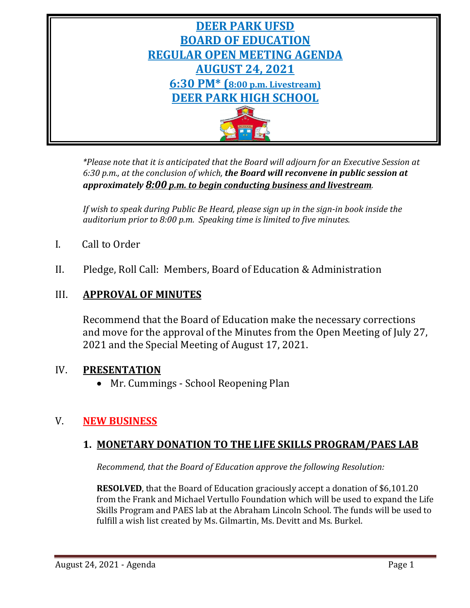

*\*Please note that it is anticipated that the Board will adjourn for an Executive Session at 6:30 p.m., at the conclusion of which, the Board will reconvene in public session at approximately 8:00 p.m. to begin conducting business and livestream.*

*If wish to speak during Public Be Heard, please sign up in the sign-in book inside the auditorium prior to 8:00 p.m. Speaking time is limited to five minutes.*

- I. Call to Order
- II. Pledge, Roll Call: Members, Board of Education & Administration

# III. **APPROVAL OF MINUTES**

Recommend that the Board of Education make the necessary corrections and move for the approval of the Minutes from the Open Meeting of July 27, 2021 and the Special Meeting of August 17, 2021.

# IV. **PRESENTATION**

• Mr. Cummings - School Reopening Plan

# V. **NEW BUSINESS**

# **1. MONETARY DONATION TO THE LIFE SKILLS PROGRAM/PAES LAB**

*Recommend, that the Board of Education approve the following Resolution:*

**RESOLVED**, that the Board of Education graciously accept a donation of \$6,101.20 from the Frank and Michael Vertullo Foundation which will be used to expand the Life Skills Program and PAES lab at the Abraham Lincoln School. The funds will be used to fulfill a wish list created by Ms. Gilmartin, Ms. Devitt and Ms. Burkel.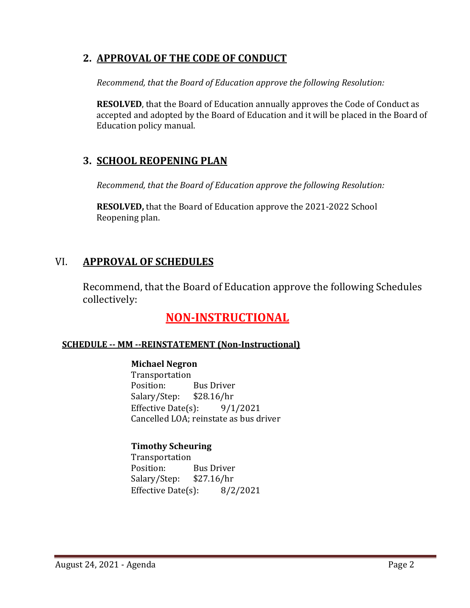# **2. APPROVAL OF THE CODE OF CONDUCT**

*Recommend, that the Board of Education approve the following Resolution:*

**RESOLVED**, that the Board of Education annually approves the Code of Conduct as accepted and adopted by the Board of Education and it will be placed in the Board of Education policy manual.

# **3. SCHOOL REOPENING PLAN**

*Recommend, that the Board of Education approve the following Resolution:*

**RESOLVED,** that the Board of Education approve the 2021-2022 School Reopening plan.

# VI. **APPROVAL OF SCHEDULES**

Recommend, that the Board of Education approve the following Schedules collectively:

# **NON-INSTRUCTIONAL**

# **SCHEDULE -- MM --REINSTATEMENT (Non-Instructional)**

**Michael Negron** Transportation<br>Position: Bus Driver<br>\$28.16/hr Salary/Step: Effective Date $(s)$ : 9/1/2021 Cancelled LOA; reinstate as bus driver

# **Timothy Scheuring**

Transportation<br>Position: Bus Driver<br>\$27.16/hr Salary/Step: \$27.16/hr<br>Effective Date(s): 8/2/2021 Effective Date $(s)$ :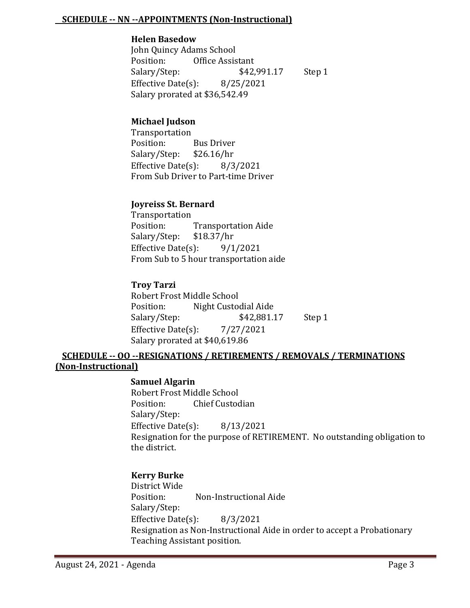#### **SCHEDULE -- NN --APPOINTMENTS (Non-Instructional)**

#### **Helen Basedow**

John Quincy Adams School Office Assistant<br>\$42,991.17 Salary/Step: \$42,991.17 Step 1 Effective Date(s): 8/25/2021 Salary prorated at \$36,542.49

#### **Michael Judson**

Transportation<br>Position: Bus Driver<br>\$26.16/hr Salary/Step: \$26.16/hr<br>Effective Date(s): 8/3/2021 Effective Date $(s)$ : From Sub Driver to Part-time Driver

#### **Joyreiss St. Bernard**

Transportation<br>Position: Transportation Aide<br>\$18.37/hr Salary/Step: \$18.37/hr<br>Effective Date(s): 9/1/2021 Effective Date $(s)$ : From Sub to 5 hour transportation aide

#### **Troy Tarzi**

Robert Frost Middle School<br>Position: Night Custoo Night Custodial Aide<br>\$42,881.17 Salary/Step: \$42,881.17 Step 1 Effective Date(s):  $7/27/2021$ Salary prorated at \$40,619.86

#### **SCHEDULE -- OO --RESIGNATIONS / RETIREMENTS / REMOVALS / TERMINATIONS (Non-Instructional)**

#### **Samuel Algarin**

Robert Frost Middle School<br>Position: Chief Custoc Chief Custodian Salary/Step: Effective Date(s): 8/13/2021 Resignation for the purpose of RETIREMENT. No outstanding obligation to the district.

#### **Kerry Burke**

District Wide Non-Instructional Aide Salary/Step: Effective Date(s): 8/3/2021 Resignation as Non-Instructional Aide in order to accept a Probationary Teaching Assistant position.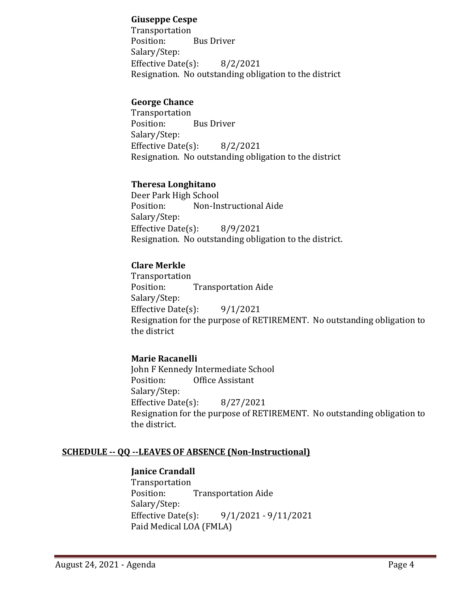#### **Giuseppe Cespe**

Transportation<br>Position: **Bus Driver** Salary/Step: Effective Date(s): 8/2/2021 Resignation. No outstanding obligation to the district

#### **George Chance**

Transportation<br>Position: **Bus Driver** Salary/Step: Effective Date(s): 8/2/2021 Resignation. No outstanding obligation to the district

#### **Theresa Longhitano**

Deer Park High School<br>Position: Non-In Non-Instructional Aide Salary/Step: Effective Date(s): 8/9/2021 Resignation. No outstanding obligation to the district.

# **Clare Merkle**

Transportation **Transportation Aide** Salary/Step: Effective Date $(s)$ : 9/1/2021 Resignation for the purpose of RETIREMENT. No outstanding obligation to the district

# **Marie Racanelli**

John F Kennedy Intermediate School<br>Position: Office Assistant Office Assistant Salary/Step: Effective Date $(s)$ : 8/27/2021 Resignation for the purpose of RETIREMENT. No outstanding obligation to the district.

#### **SCHEDULE -- QQ --LEAVES OF ABSENCE (Non-Instructional)**

#### **Janice Crandall**

Transportation<br>Position: **Transportation Aide** Salary/Step:<br>Effective Date(s): Effective Date(s): 9/1/2021 - 9/11/2021 Paid Medical LOA (FMLA)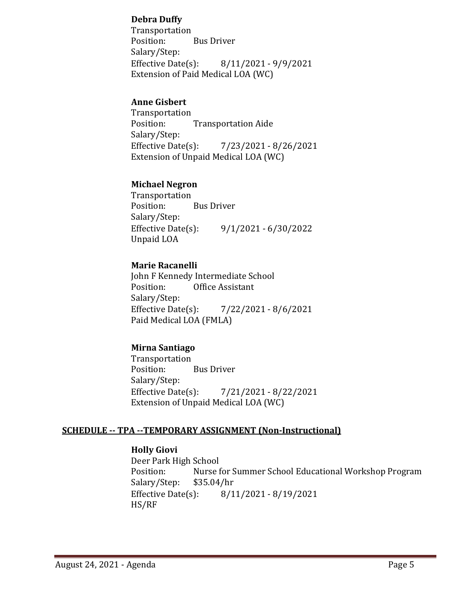### **Debra Duffy**

Transportation<br>Position: Bus Driver Salary/Step:<br>Effective Date(s): Effective Date(s): 8/11/2021 - 9/9/2021 Extension of Paid Medical LOA (WC)

#### **Anne Gisbert**

Transportation<br>Position: **Transportation Aide** Salary/Step:<br>Effective Date(s): Effective Date(s): 7/23/2021 - 8/26/2021 Extension of Unpaid Medical LOA (WC)

#### **Michael Negron**

Transportation<br>Position: **Bus Driver** Salary/Step:<br>Effective Date(s): Effective Date(s): 9/1/2021 - 6/30/2022 Unpaid LOA

# **Marie Racanelli**

John F Kennedy Intermediate School<br>Position: Office Assistant Office Assistant Salary/Step:<br>Effective Date(s): Effective Date(s): 7/22/2021 - 8/6/2021 Paid Medical LOA (FMLA)

# **Mirna Santiago**

Transportation<br>Position: **Bus Driver** Salary/Step: Effective Date(s): 7/21/2021 - 8/22/2021 Extension of Unpaid Medical LOA (WC)

#### **SCHEDULE -- TPA --TEMPORARY ASSIGNMENT (Non-Instructional)**

#### **Holly Giovi**

Deer Park High School<br>Position: Nurse f Nurse for Summer School Educational Workshop Program<br>\$35.04/hr Salary/Step: \$3.<br>Effective Date(s): Effective Date(s): 8/11/2021 - 8/19/2021 HS/RF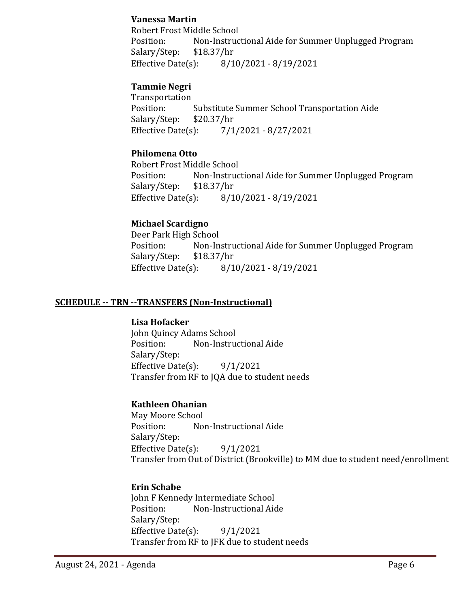#### **Vanessa Martin**

Robert Frost Middle School<br>Position: Non-Instruc Non-Instructional Aide for Summer Unplugged Program \$18.37/hr Salary/Step: \$1.<br>Effective Date(s): Effective Date(s): 8/10/2021 - 8/19/2021

# **Tammie Negri**

Transportation<br>Position: Substitute Summer School Transportation Aide<br>\$20.37/hr Salary/Step: \$2<br>Effective Date(s): Effective Date(s): 7/1/2021 - 8/27/2021

# **Philomena Otto**

Robert Frost Middle School Non-Instructional Aide for Summer Unplugged Program \$18.37/hr Salary/Step: Effective Date(s): 8/10/2021 - 8/19/2021

# **Michael Scardigno**

Deer Park High School<br>Position: Non-In Non-Instructional Aide for Summer Unplugged Program \$18.37/hr Salary/Step: \$1<br>Effective Date(s): Effective Date(s): 8/10/2021 - 8/19/2021

### **SCHEDULE -- TRN --TRANSFERS (Non-Instructional)**

#### **Lisa Hofacker**

John Quincy Adams School Non-Instructional Aide Salary/Step: Effective Date(s): 9/1/2021 Transfer from RF to JQA due to student needs

# **Kathleen Ohanian**

May Moore School<br>Position: Noi Non-Instructional Aide Salary/Step: Effective Date(s): 9/1/2021 Transfer from Out of District (Brookville) to MM due to student need/enrollment

# **Erin Schabe**

John F Kennedy Intermediate School<br>Position: Non-Instructional Aid Non-Instructional Aide Salary/Step: Effective Date $(s)$ : 9/1/2021 Transfer from RF to JFK due to student needs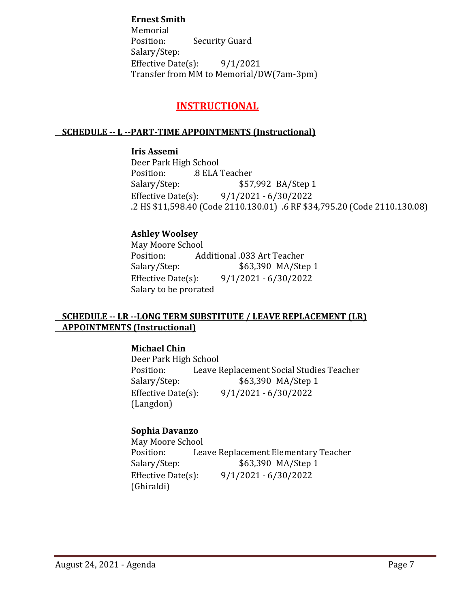# **Ernest Smith**

Memorial<br>Position: **Security Guard** Salary/Step: Effective Date(s):  $9/1/2021$ Transfer from MM to Memorial/DW(7am-3pm)

# **INSTRUCTIONAL**

### **SCHEDULE -- L --PART-TIME APPOINTMENTS (Instructional)**

# **Iris Assemi** Deer Park High School

Position: .8 ELA Teacher<br>Salary/Step: \$57 \$57,992 BA/Step 1 Effective Date(s): 9/1/2021 - 6/30/2022 .2 HS \$11,598.40 (Code 2110.130.01) .6 RF \$34,795.20 (Code 2110.130.08)

# **Ashley Woolsey**

May Moore School<br>Position: Ad Position: Additional .033 Art Teacher<br>Salary/Step: \$63,390 MA/Ste Salary/Step: \$63,390 MA/Step 1<br>Effective Date(s): 9/1/2021 - 6/30/2022 Effective Date(s): 9/1/2021 - 6/30/2022 Salary to be prorated

### **SCHEDULE -- LR --LONG TERM SUBSTITUTE / LEAVE REPLACEMENT (LR) APPOINTMENTS (Instructional)**

**Michael Chin**

Deer Park High School<br>Position: Leave l Position: Leave Replacement Social Studies Teacher<br>Salary/Step: \$63,390 MA/Step 1 \$63,390 MA/Step 1 Effective Date(s): 9/1/2021 - 6/30/2022 (Langdon)

# **Sophia Davanzo**

May Moore School<br>Position: Lea Position: Leave Replacement Elementary Teacher<br>Salary/Step: \$63,390 MA/Step 1 Salary/Step: \$63,390 MA/Step 1<br>Effective Date(s): 9/1/2021 - 6/30/2022 Effective Date(s): 9/1/2021 - 6/30/2022 (Ghiraldi)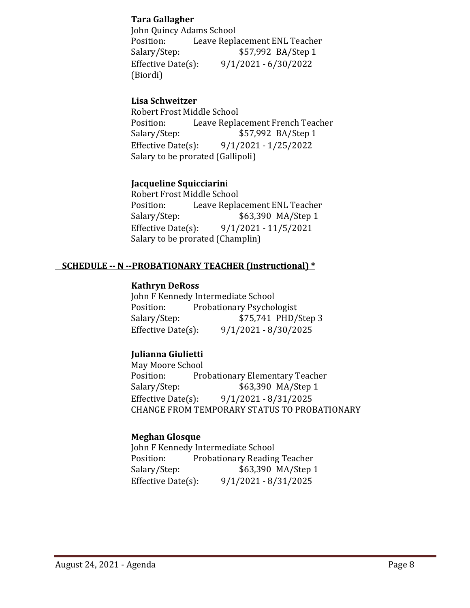#### **Tara Gallagher**

John Quincy Adams School<br>Position: Leave Repla Position: Leave Replacement ENL Teacher<br>Salary/Step: \$57,992 BA/Step 1 \$57,992 BA/Step 1 Effective Date(s): 9/1/2021 - 6/30/2022 (Biordi)

# **Lisa Schweitzer**

Robert Frost Middle School Position: Leave Replacement French Teacher<br>Salary/Step: \$57,992 BA/Step 1 Salary/Step: \$57,992 BA/Step 1<br>Effective Date(s): 9/1/2021 - 1/25/2022 Effective Date(s): 9/1/2021 - 1/25/2022 Salary to be prorated (Gallipoli)

# **Jacqueline Squicciarin**i

Robert Frost Middle School Position: Leave Replacement ENL Teacher<br>Salary/Step: \$63,390 MA/Step 1 Salary/Step: \$63,390 MA/Step 1<br>Effective Date(s): 9/1/2021 - 11/5/2021 Effective Date(s): 9/1/2021 - 11/5/2021 Salary to be prorated (Champlin)

# **SCHEDULE -- N --PROBATIONARY TEACHER (Instructional) \***

### **Kathryn DeRoss**

John F Kennedy Intermediate School<br>Position: Probationary Psychol Position: Probationary Psychologist<br>Salary/Step: \$75,741 PHD/ \$75,741 PHD/Step 3 Effective Date(s): 9/1/2021 - 8/30/2025

# **Julianna Giulietti**

May Moore School<br>Position: Pro Position: Probationary Elementary Teacher<br>Salary/Step: \$63,390 MA/Step 1 \$63,390 MA/Step 1 Effective Date(s): 9/1/2021 - 8/31/2025 CHANGE FROM TEMPORARY STATUS TO PROBATIONARY

# **Meghan Glosque**

John F Kennedy Intermediate School<br>Position: Probationary Reading Position: Probationary Reading Teacher<br>Salary/Step: \$63,390 MA/Step 1 Salary/Step: \$63,390 MA/Step 1<br>Effective Date(s): 9/1/2021 - 8/31/2025 Effective Date(s): 9/1/2021 - 8/31/2025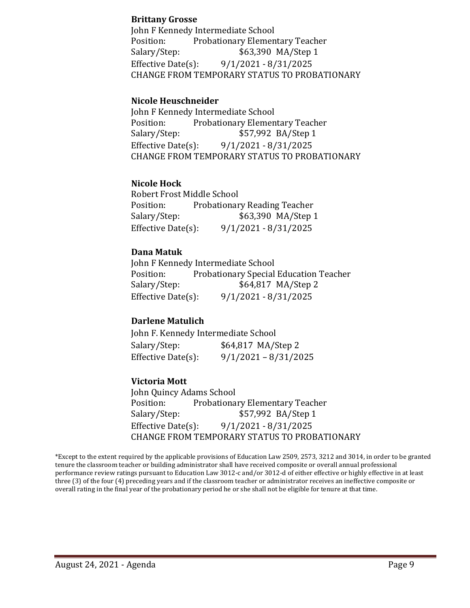#### **Brittany Grosse**

John F Kennedy Intermediate School Position: Probationary Elementary Teacher<br>Salary/Step: \$63,390 MA/Step 1 \$63,390 MA/Step 1 Effective Date(s): 9/1/2021 - 8/31/2025 CHANGE FROM TEMPORARY STATUS TO PROBATIONARY

#### **Nicole Heuschneider**

John F Kennedy Intermediate School<br>Position: Probationary Elemen Position: Probationary Elementary Teacher<br>Salary/Step: \$57,992 BA/Step 1 \$57,992 BA/Step 1 Effective Date(s): 9/1/2021 - 8/31/2025 CHANGE FROM TEMPORARY STATUS TO PROBATIONARY

#### **Nicole Hock**

Robert Frost Middle School Position: Probationary Reading Teacher<br>Salary/Step: \$63,390 MA/Step Salary/Step: \$63,390 MA/Step 1<br>Effective Date(s): 9/1/2021 - 8/31/2025 Effective Date(s): 9/1/2021 - 8/31/2025

#### **Dana Matuk**

John F Kennedy Intermediate School<br>Position: Probationary Special Position: Probationary Special Education Teacher<br>Salary/Step: \$64,817 MA/Step 2 \$64,817 MA/Step 2 Effective Date(s): 9/1/2021 - 8/31/2025

#### **Darlene Matulich**

| John F. Kennedy Intermediate School |                        |  |
|-------------------------------------|------------------------|--|
| Salary/Step:                        | \$64,817 MA/Step 2     |  |
| Effective Date $(s)$ :              | $9/1/2021 - 8/31/2025$ |  |

#### **Victoria Mott**

John Quincy Adams School Position: Probationary Elementary Teacher<br>Salary/Step: \$57,992 BA/Step 1 \$57,992 BA/Step 1 Effective Date(s): 9/1/2021 - 8/31/2025 CHANGE FROM TEMPORARY STATUS TO PROBATIONARY

\*Except to the extent required by the applicable provisions of Education Law 2509, 2573, 3212 and 3014, in order to be granted tenure the classroom teacher or building administrator shall have received composite or overall annual professional performance review ratings pursuant to Education Law 3012-c and/or 3012-d of either effective or highly effective in at least three (3) of the four (4) preceding years and if the classroom teacher or administrator receives an ineffective composite or overall rating in the final year of the probationary period he or she shall not be eligible for tenure at that time.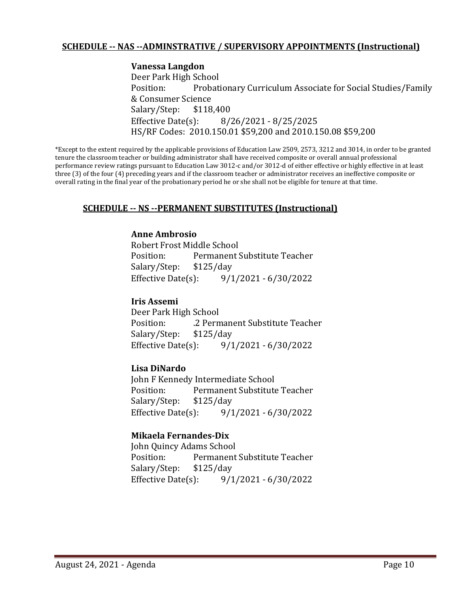#### **SCHEDULE -- NAS --ADMINSTRATIVE / SUPERVISORY APPOINTMENTS (Instructional)**

**Vanessa Langdon** Deer Park High School Probationary Curriculum Associate for Social Studies/Family & Consumer Science<br>Salary/Step: \$118,400 Salary/Step: Effective Date(s): 8/26/2021 - 8/25/2025 HS/RF Codes: 2010.150.01 \$59,200 and 2010.150.08 \$59,200

\*Except to the extent required by the applicable provisions of Education Law 2509, 2573, 3212 and 3014, in order to be granted tenure the classroom teacher or building administrator shall have received composite or overall annual professional performance review ratings pursuant to Education Law 3012-c and/or 3012-d of either effective or highly effective in at least three (3) of the four (4) preceding years and if the classroom teacher or administrator receives an ineffective composite or overall rating in the final year of the probationary period he or she shall not be eligible for tenure at that time.

#### **SCHEDULE -- NS --PERMANENT SUBSTITUTES (Instructional)**

#### **Anne Ambrosio**

Robert Frost Middle School Permanent Substitute Teacher<br>\$125/day Salary/Step: \$1<br>Effective Date(s): Effective Date(s): 9/1/2021 - 6/30/2022

#### **Iris Assemi**

Deer Park High School .2 Permanent Substitute Teacher<br>\$125/day Salary/Step: \$1<br>Effective Date(s): Effective Date(s): 9/1/2021 - 6/30/2022

#### **Lisa DiNardo**

John F Kennedy Intermediate School<br>Position: Permanent Substitute Permanent Substitute Teacher<br>\$125/day Salary/Step: Effective Date(s): 9/1/2021 - 6/30/2022

#### **Mikaela Fernandes-Dix**

John Quincy Adams School Permanent Substitute Teacher<br>\$125/day Salary/Step: \$1.<br>Effective Date(s): Effective Date(s): 9/1/2021 - 6/30/2022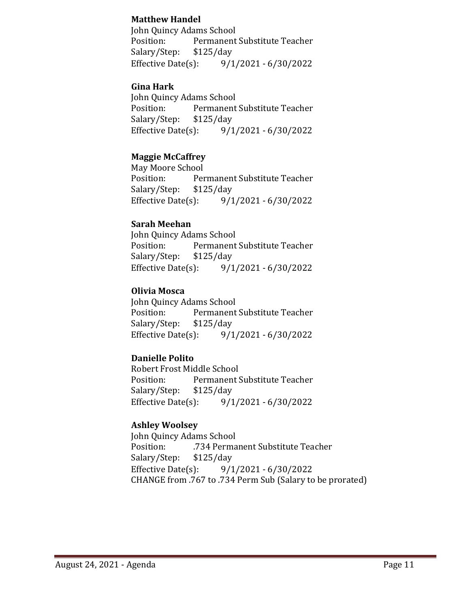### **Matthew Handel**

John Quincy Adams School<br>Position: Permanent Permanent Substitute Teacher<br>\$125/day Salary/Step: \$1<br>Effective Date(s):  $9/1/2021 - 6/30/2022$ 

### **Gina Hark**

John Quincy Adams School<br>Position: Permanent Permanent Substitute Teacher<br>\$125/day Salary/Step: \$1<br>Effective Date(s): Effective Date(s): 9/1/2021 - 6/30/2022

### **Maggie McCaffrey**

May Moore School<br>Position: Per Permanent Substitute Teacher<br>\$125/day Salary/Step: \$1<br>Effective Date(s): Effective Date(s): 9/1/2021 - 6/30/2022

#### **Sarah Meehan**

John Quincy Adams School<br>Position: Permanent Permanent Substitute Teacher<br>\$125/day Salary/Step: \$1<br>Effective Date(s): Effective Date(s): 9/1/2021 - 6/30/2022

### **Olivia Mosca**

John Quincy Adams School<br>Position: Permanent Permanent Substitute Teacher<br>\$125/day Salary/Step: \$1<br>Effective Date(s): Effective Date(s): 9/1/2021 - 6/30/2022

# **Danielle Polito**

Robert Frost Middle School<br>Position: Permanent ! Permanent Substitute Teacher Salary/Step: \$125/day<br>Effective Date(s): 9/1 Effective Date(s): 9/1/2021 - 6/30/2022

#### **Ashley Woolsey**

John Quincy Adams School<br>Position: 734 Perma .734 Permanent Substitute Teacher<br>\$125/day Salary/Step: \$1<br>Effective Date(s): Effective Date(s): 9/1/2021 - 6/30/2022 CHANGE from .767 to .734 Perm Sub (Salary to be prorated)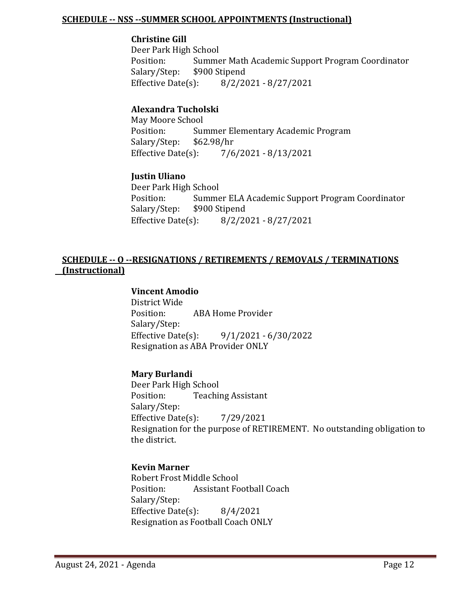#### **SCHEDULE -- NSS --SUMMER SCHOOL APPOINTMENTS (Instructional)**

#### **Christine Gill**

Deer Park High School Summer Math Academic Support Program Coordinator<br>\$900 Stipend Salary/Step: \$9<br>Effective Date(s): Effective Date(s): 8/2/2021 - 8/27/2021

### **Alexandra Tucholski**

May Moore School<br>Position: Sun Summer Elementary Academic Program<br>\$62.98/hr Salary/Step: \$6<br>Effective Date(s): Effective Date(s): 7/6/2021 - 8/13/2021

#### **Justin Uliano**

Deer Park High School<br>Position: Summe Summer ELA Academic Support Program Coordinator<br>\$900 Stipend Salary/Step: \$90<br>Effective Date(s):  $8/2/2021 - 8/27/2021$ 

### **SCHEDULE -- O --RESIGNATIONS / RETIREMENTS / REMOVALS / TERMINATIONS (Instructional)**

# **Vincent Amodio**

District Wide ABA Home Provider Salary/Step:<br>Effective Date(s): Effective Date(s): 9/1/2021 - 6/30/2022 Resignation as ABA Provider ONLY

#### **Mary Burlandi**

Deer Park High School<br>Position: Teachii **Teaching Assistant** Salary/Step: Effective Date(s): 7/29/2021 Resignation for the purpose of RETIREMENT. No outstanding obligation to the district.

#### **Kevin Marner**

Robert Frost Middle School<br>Position: Assistant Fo Assistant Football Coach Salary/Step: Effective Date(s): 8/4/2021 Resignation as Football Coach ONLY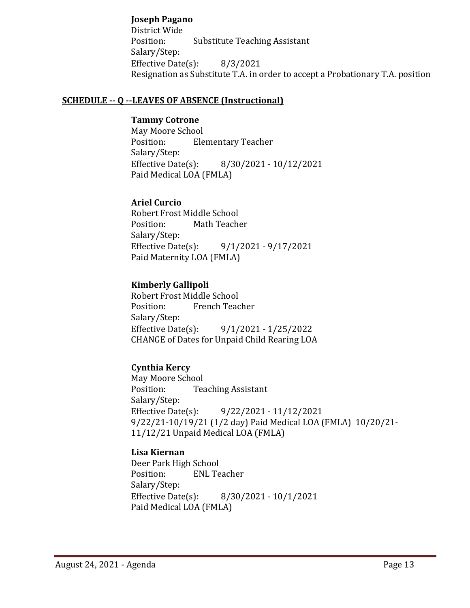### **Joseph Pagano**

District Wide Position: Substitute Teaching Assistant Salary/Step: Effective Date $(s)$ : 8/3/2021 Resignation as Substitute T.A. in order to accept a Probationary T.A. position

#### **SCHEDULE -- Q --LEAVES OF ABSENCE (Instructional)**

#### **Tammy Cotrone**

May Moore School<br>Position: Ele **Elementary Teacher** Salary/Step:<br>Effective Date(s): Effective Date(s): 8/30/2021 - 10/12/2021 Paid Medical LOA (FMLA)

#### **Ariel Curcio**

Robert Frost Middle School<br>Position: Math Teach Math Teacher Salary/Step:<br>Effective Date(s): Effective Date(s): 9/1/2021 - 9/17/2021 Paid Maternity LOA (FMLA)

### **Kimberly Gallipoli**

Robert Frost Middle School French Teacher Salary/Step:<br>Effective Date(s): Effective Date(s): 9/1/2021 - 1/25/2022 CHANGE of Dates for Unpaid Child Rearing LOA

# **Cynthia Kercy**

May Moore School<br>Position: Tea **Teaching Assistant** Salary/Step:<br>Effective Date(s): Effective Date(s): 9/22/2021 - 11/12/2021 9/22/21-10/19/21 (1/2 day) Paid Medical LOA (FMLA) 10/20/21- 11/12/21 Unpaid Medical LOA (FMLA)

#### **Lisa Kiernan**

Deer Park High School<br>Position: ENL Te **ENL Teacher** Salary/Step:<br>Effective Date(s): Effective Date(s): 8/30/2021 - 10/1/2021 Paid Medical LOA (FMLA)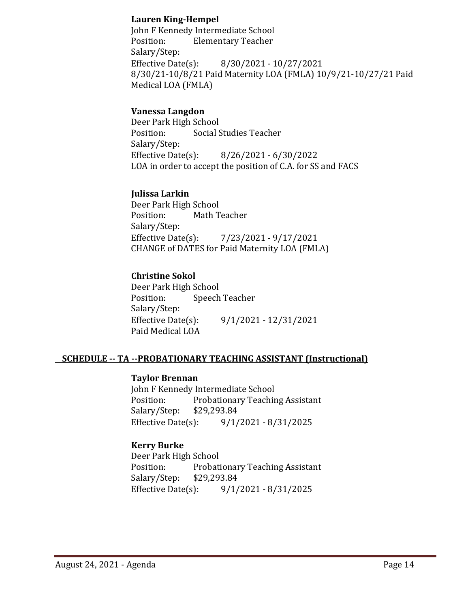### **Lauren King-Hempel**

John F Kennedy Intermediate School<br>Position: Flementary Teacher **Elementary Teacher** Salary/Step:<br>Effective Date(s): Effective Date(s): 8/30/2021 - 10/27/2021 8/30/21-10/8/21 Paid Maternity LOA (FMLA) 10/9/21-10/27/21 Paid Medical LOA (FMLA)

### **Vanessa Langdon**

Deer Park High School<br>Position: Social S Social Studies Teacher Salary/Step: Effective Date(s): 8/26/2021 - 6/30/2022 LOA in order to accept the position of C.A. for SS and FACS

#### **Julissa Larkin**

Deer Park High School<br>Position: Math T Math Teacher Salary/Step:<br>Effective Date(s): Effective Date(s): 7/23/2021 - 9/17/2021 CHANGE of DATES for Paid Maternity LOA (FMLA)

# **Christine Sokol**

Deer Park High School<br>Position: Speech Speech Teacher Salary/Step:<br>Effective Date(s): Effective Date(s): 9/1/2021 - 12/31/2021 Paid Medical LOA

# **SCHEDULE -- TA --PROBATIONARY TEACHING ASSISTANT (Instructional)**

#### **Taylor Brennan**

John F Kennedy Intermediate School<br>Position: Probationary Teachir Probationary Teaching Assistant<br>\$29,293.84 Salary/Step: \$29<br>Effective Date(s): Effective Date(s): 9/1/2021 - 8/31/2025

#### **Kerry Burke**

Deer Park High School<br>Position: Probati Probationary Teaching Assistant<br>\$29,293.84 Salary/Step: \$29<br>Effective Date(s): Effective Date(s): 9/1/2021 - 8/31/2025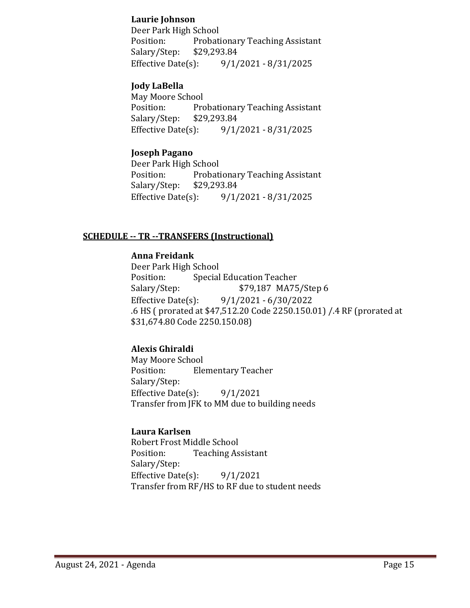#### **Laurie Johnson**

Deer Park High School<br>Position: Probati Probationary Teaching Assistant<br>\$29,293.84 Salary/Step: \$2<br>Effective Date(s): Effective Date(s): 9/1/2021 - 8/31/2025

### **Jody LaBella**

May Moore School Probationary Teaching Assistant<br>\$29,293.84 Salary/Step: Effective Date(s): 9/1/2021 - 8/31/2025

#### **Joseph Pagano**

Deer Park High School Probationary Teaching Assistant<br>\$29,293.84 Salary/Step: \$2<br>Effective Date(s): Effective Date(s): 9/1/2021 - 8/31/2025

### **SCHEDULE -- TR --TRANSFERS (Instructional)**

#### **Anna Freidank**

Deer Park High School Position: Special Education Teacher<br>Salary/Step: \$79,187 MA75 Salary/Step: \$79,187 MA75/Step 6<br>Effective Date(s): 9/1/2021 - 6/30/2022 Effective Date(s): 9/1/2021 - 6/30/2022 .6 HS ( prorated at \$47,512.20 Code 2250.150.01) /.4 RF (prorated at \$31,674.80 Code 2250.150.08)

# **Alexis Ghiraldi**

May Moore School<br>Position: Ele **Elementary Teacher** Salary/Step: Effective Date $(s)$ : 9/1/2021 Transfer from JFK to MM due to building needs

#### **Laura Karlsen**

Robert Frost Middle School<br>Position: Teaching As **Teaching Assistant** Salary/Step: Effective Date $(s)$ : 9/1/2021 Transfer from RF/HS to RF due to student needs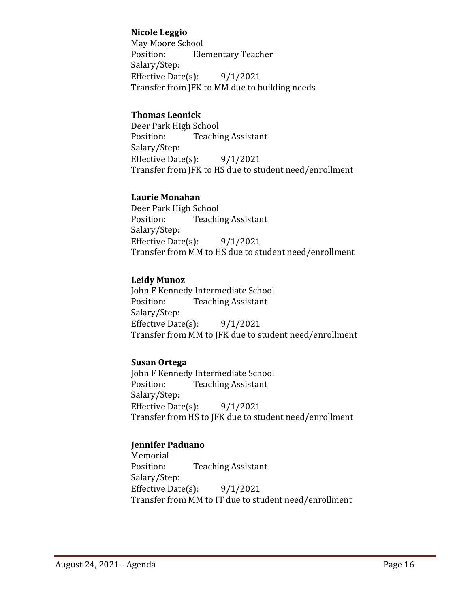#### **Nicole Leggio**

May Moore School<br>Position: Ele **Elementary Teacher** Salary/Step: Effective Date(s): 9/1/2021 Transfer from JFK to MM due to building needs

#### **Thomas Leonick**

Deer Park High School<br>Position: Teachii **Teaching Assistant** Salary/Step: Effective Date(s):  $9/1/2021$ Transfer from JFK to HS due to student need/enrollment

### **Laurie Monahan**

Deer Park High School<br>Position: Teachii **Teaching Assistant** Salary/Step: Effective Date $(s)$ : 9/1/2021 Transfer from MM to HS due to student need/enrollment

#### **Leidy Munoz**

John F Kennedy Intermediate School<br>Position: Teaching Assistant **Teaching Assistant** Salary/Step: Effective Date $(s)$ : 9/1/2021 Transfer from MM to JFK due to student need/enrollment

# **Susan Ortega**

John F Kennedy Intermediate School<br>Position: Teaching Assistant **Teaching Assistant** Salary/Step: Effective Date $(s)$ : 9/1/2021 Transfer from HS to JFK due to student need/enrollment

#### **Jennifer Paduano**

Memorial<br>Position: **Teaching Assistant** Salary/Step: Effective Date(s):  $9/1/2021$ Transfer from MM to IT due to student need/enrollment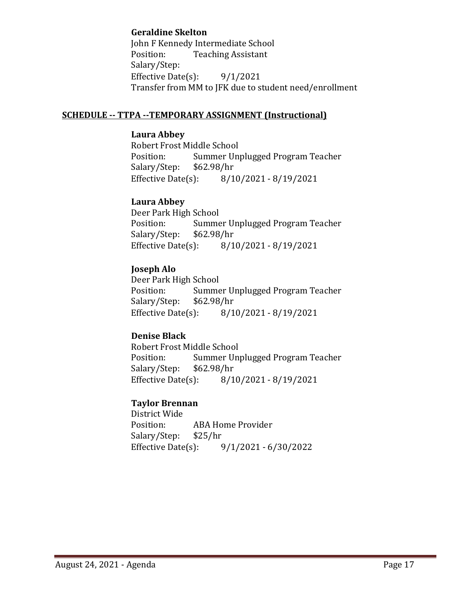#### **Geraldine Skelton**

John F Kennedy Intermediate School<br>Position: Teaching Assistant **Teaching Assistant** Salary/Step: Effective Date(s): 9/1/2021 Transfer from MM to JFK due to student need/enrollment

#### **SCHEDULE -- TTPA --TEMPORARY ASSIGNMENT (Instructional)**

#### **Laura Abbey**

Robert Frost Middle School<br>Position: Summer Unp Summer Unplugged Program Teacher<br>\$62.98/hr Salary/Step: \$6.<br>Effective Date(s): Effective Date(s): 8/10/2021 - 8/19/2021

### **Laura Abbey**

Deer Park High School<br>Position: Summe Summer Unplugged Program Teacher<br>\$62.98/hr Salary/Step: \$6<br>Effective Date(s): Effective Date(s): 8/10/2021 - 8/19/2021

# **Joseph Alo**

Deer Park High School<br>Position: Summe Summer Unplugged Program Teacher<br>\$62.98/hr Salary/Step: \$6<br>Effective Date(s): Effective Date(s): 8/10/2021 - 8/19/2021

# **Denise Black**

Robert Frost Middle School<br>Position: Summer Uni Summer Unplugged Program Teacher<br>\$62.98/hr Salary/Step: \$6<br>Effective Date(s): Effective Date(s): 8/10/2021 - 8/19/2021

# **Taylor Brennan**

District Wide ABA Home Provider<br>\$25/hr Salary/Step: Effective Date(s): 9/1/2021 - 6/30/2022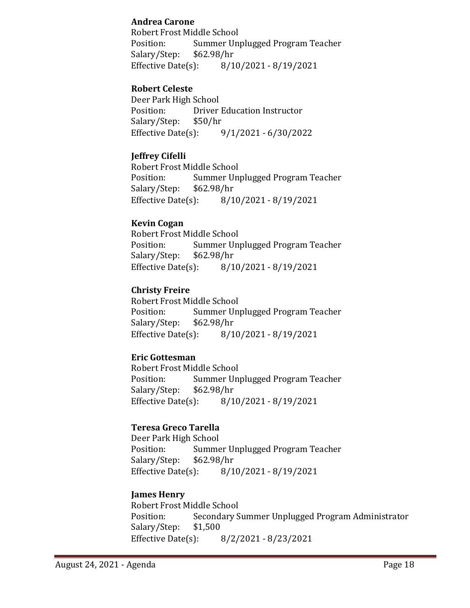### **Andrea Carone**

Robert Frost Middle School<br>Position: Summer Un Summer Unplugged Program Teacher<br>\$62.98/hr Salary/Step: Effective Date(s): 8/10/2021 - 8/19/2021

### **Robert Celeste**

Deer Park High School<br>Position: Driver Driver Education Instructor<br>\$50/hr Salary/Step: \$5<br>Effective Date(s): Effective Date(s): 9/1/2021 - 6/30/2022

# **Jeffrey Cifelli**

Robert Frost Middle School<br>Position: Summer Un Summer Unplugged Program Teacher<br>\$62.98/hr Salary/Step: Effective Date(s): 8/10/2021 - 8/19/2021

### **Kevin Cogan**

Robert Frost Middle School<br>Position: Summer Uni Summer Unplugged Program Teacher<br>\$62.98/hr Salary/Step: \$6<br>Effective Date(s): Effective Date(s): 8/10/2021 - 8/19/2021

# **Christy Freire**

Robert Frost Middle School<br>Position: Summer Un Summer Unplugged Program Teacher<br>\$62.98/hr Salary/Step: \$6<br>Effective Date(s): Effective Date(s): 8/10/2021 - 8/19/2021

# **Eric Gottesman**

Robert Frost Middle School<br>Position: Summer Un Summer Unplugged Program Teacher<br>\$62.98/hr Salary/Step: \$6<br>Effective Date(s): Effective Date(s): 8/10/2021 - 8/19/2021

# **Teresa Greco Tarella**

Deer Park High School Summer Unplugged Program Teacher<br>\$62.98/hr Salary/Step: \$6<br>Effective Date(s): Effective Date(s): 8/10/2021 - 8/19/2021

# **James Henry**

Robert Frost Middle School Secondary Summer Unplugged Program Administrator<br>\$1,500 Salary/Step: Effective Date(s): 8/2/2021 - 8/23/2021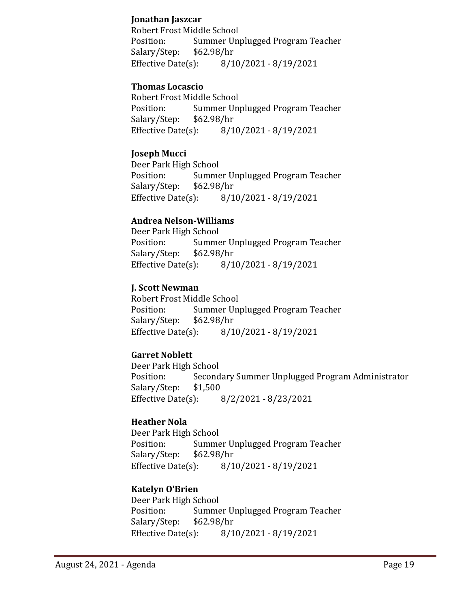### **Jonathan Jaszcar**

Robert Frost Middle School<br>Position: Summer Un Summer Unplugged Program Teacher<br>\$62.98/hr Salary/Step: \$6<br>Effective Date(s): Effective Date(s): 8/10/2021 - 8/19/2021

### **Thomas Locascio**

Robert Frost Middle School<br>Position: Summer Un Summer Unplugged Program Teacher<br>\$62.98/hr Salary/Step: \$6<br>Effective Date(s): Effective Date(s): 8/10/2021 - 8/19/2021

### **Joseph Mucci**

Deer Park High School<br>Position: Summe Summer Unplugged Program Teacher<br>\$62.98/hr Salary/Step: Effective Date(s): 8/10/2021 - 8/19/2021

#### **Andrea Nelson-Williams**

Deer Park High School Summer Unplugged Program Teacher<br>\$62.98/hr Salary/Step: \$6<br>Effective Date(s): Effective Date(s): 8/10/2021 - 8/19/2021

### **J. Scott Newman**

Robert Frost Middle School Summer Unplugged Program Teacher<br>\$62.98/hr Salary/Step: \$6<br>Effective Date(s): Effective Date(s): 8/10/2021 - 8/19/2021

# **Garret Noblett**

Deer Park High School Secondary Summer Unplugged Program Administrator<br>\$1,500 Salary/Step: \$1<br>Effective Date(s): Effective Date(s): 8/2/2021 - 8/23/2021

#### **Heather Nola**

Deer Park High School<br>Position: Summe Summer Unplugged Program Teacher<br>\$62.98/hr Salary/Step: \$6<br>Effective Date(s): Effective Date(s): 8/10/2021 - 8/19/2021

# **Katelyn O'Brien**

Deer Park High School<br>Position: Summe Summer Unplugged Program Teacher<br>\$62.98/hr Salary/Step: \$6.<br>Effective Date(s): Effective Date(s): 8/10/2021 - 8/19/2021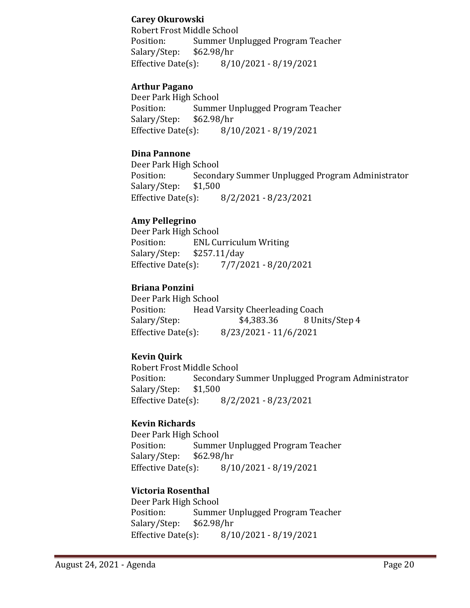### **Carey Okurowski**

Robert Frost Middle School Position: Summer Unplugged Program Teacher<br>Salary/Step: \$62.98/hr Salary/Step: \$6<br>Effective Date(s): Effective Date(s): 8/10/2021 - 8/19/2021

#### **Arthur Pagano**

Deer Park High School<br>Position: Summe Summer Unplugged Program Teacher<br>\$62.98/hr Salary/Step: \$6<br>Effective Date(s): Effective Date(s): 8/10/2021 - 8/19/2021

### **Dina Pannone**

Deer Park High School Secondary Summer Unplugged Program Administrator<br>\$1,500 Salary/Step: Effective Date(s): 8/2/2021 - 8/23/2021

### **Amy Pellegrino**

Deer Park High School<br>Position: ENL Cu ENL Curriculum Writing<br>\$257.11/day Salary/Step: \$2<br>Effective Date(s): Effective Date(s): 7/7/2021 - 8/20/2021

### **Briana Ponzini**

Deer Park High School<br>Position: Head V Position: Head Varsity Cheerleading Coach<br>Salary/Step: \$4,383.36 8 Unit 8 Units/Step 4 Effective Date(s): 8/23/2021 - 11/6/2021

# **Kevin Quirk**

Robert Frost Middle School<br>Position: Secondary S Secondary Summer Unplugged Program Administrator \$1,500 Salary/Step: \$1,<br>Effective Date(s): Effective Date(s): 8/2/2021 - 8/23/2021

# **Kevin Richards**

Deer Park High School<br>Position: Summe Summer Unplugged Program Teacher<br>\$62.98/hr Salary/Step: Effective Date(s): 8/10/2021 - 8/19/2021

# **Victoria Rosenthal**

Deer Park High School Summer Unplugged Program Teacher<br>\$62.98/hr Salary/Step: \$6.<br>Effective Date(s): Effective Date(s): 8/10/2021 - 8/19/2021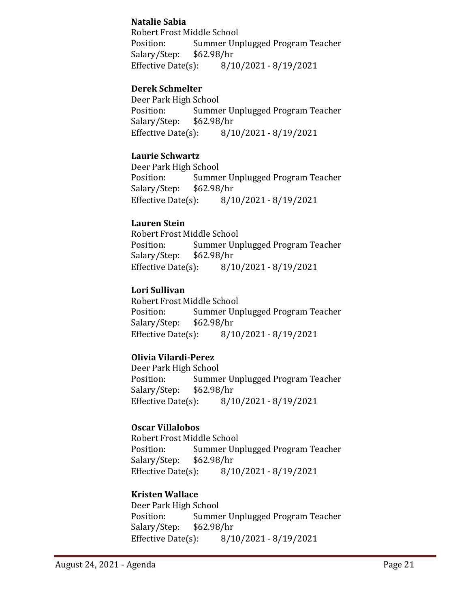### **Natalie Sabia**

Robert Frost Middle School<br>Position: Summer Un Summer Unplugged Program Teacher<br>\$62.98/hr Salary/Step: Effective Date(s): 8/10/2021 - 8/19/2021

### **Derek Schmelter**

Deer Park High School<br>Position: Summe Summer Unplugged Program Teacher<br>\$62.98/hr Salary/Step: \$6<br>Effective Date(s): Effective Date(s): 8/10/2021 - 8/19/2021

#### **Laurie Schwartz**

Deer Park High School<br>Position: Summe Summer Unplugged Program Teacher<br>\$62.98/hr Salary/Step: \$6<br>Effective Date(s): Effective Date(s): 8/10/2021 - 8/19/2021

#### **Lauren Stein**

Robert Frost Middle School<br>Position: Summer Un Summer Unplugged Program Teacher<br>\$62.98/hr Salary/Step: \$6<br>Effective Date(s): Effective Date(s): 8/10/2021 - 8/19/2021

### **Lori Sullivan**

Robert Frost Middle School<br>Position: Summer Un Summer Unplugged Program Teacher<br>\$62.98/hr Salary/Step: \$6<br>Effective Date(s): Effective Date(s): 8/10/2021 - 8/19/2021

#### **Olivia Vilardi-Perez**

Deer Park High School Summer Unplugged Program Teacher<br>\$62.98/hr Salary/Step: \$6<br>Effective Date(s): Effective Date(s): 8/10/2021 - 8/19/2021

# **Oscar Villalobos**

Robert Frost Middle School Summer Unplugged Program Teacher<br>\$62.98/hr Salary/Step: \$6<br>Effective Date(s): Effective Date(s): 8/10/2021 - 8/19/2021

# **Kristen Wallace**

Deer Park High School Summer Unplugged Program Teacher<br>\$62.98/hr Salary/Step: Effective Date(s): 8/10/2021 - 8/19/2021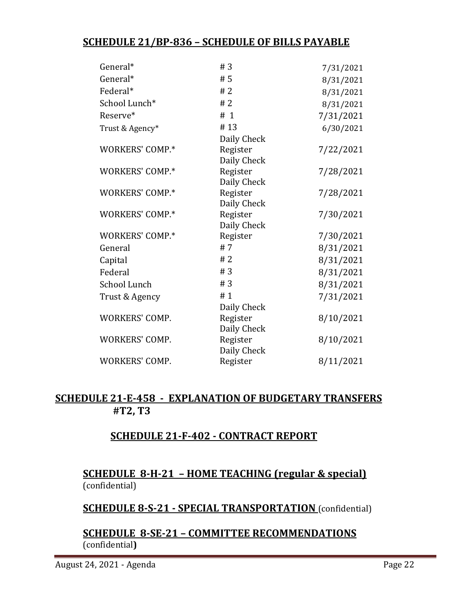# **SCHEDULE 21/BP-836 – SCHEDULE OF BILLS PAYABLE**

| General*              | #3                      | 7/31/2021 |
|-----------------------|-------------------------|-----------|
| General*              | #5                      | 8/31/2021 |
| Federal*              | #2                      | 8/31/2021 |
| School Lunch*         | #2                      | 8/31/2021 |
| Reserve*              | # 1                     | 7/31/2021 |
| Trust & Agency*       | #13                     | 6/30/2021 |
|                       | Daily Check             |           |
| WORKERS' COMP.*       | Register<br>Daily Check | 7/22/2021 |
| WORKERS' COMP.*       | Register<br>Daily Check | 7/28/2021 |
| WORKERS' COMP.*       | Register<br>Daily Check | 7/28/2021 |
| WORKERS' COMP.*       | Register<br>Daily Check | 7/30/2021 |
| WORKERS' COMP.*       | Register                | 7/30/2021 |
| General               | #7                      | 8/31/2021 |
| Capital               | #2                      | 8/31/2021 |
| Federal               | #3                      | 8/31/2021 |
| School Lunch          | #3                      | 8/31/2021 |
| Trust & Agency        | #1<br>Daily Check       | 7/31/2021 |
| <b>WORKERS' COMP.</b> | Register<br>Daily Check | 8/10/2021 |
| <b>WORKERS' COMP.</b> | Register<br>Daily Check | 8/10/2021 |
| <b>WORKERS' COMP.</b> | Register                | 8/11/2021 |
|                       |                         |           |

# **SCHEDULE 21-E-458 - EXPLANATION OF BUDGETARY TRANSFERS #T2, T3**

# **SCHEDULE 21-F-402 - CONTRACT REPORT**

# **SCHEDULE 8-H-21 – HOME TEACHING (regular & special)** (confidential)

**SCHEDULE 8-S-21 - SPECIAL TRANSPORTATION** (confidential)

# **SCHEDULE 8-SE-21 – COMMITTEE RECOMMENDATIONS** (confidential**)**